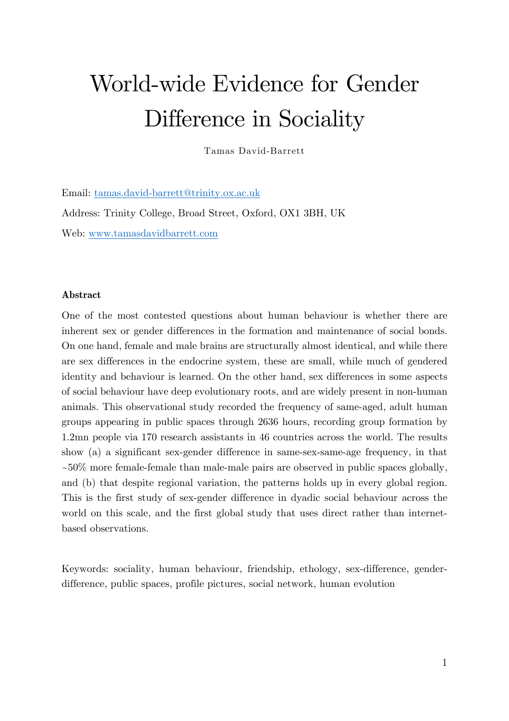# World-wide Evidence for Gender Difference in Sociality

Tamas David-Barrett

Email: tamas.david-barrett@trinity.ox.ac.uk Address: Trinity College, Broad Street, Oxford, OX1 3BH, UK Web: www.tamasdavidbarrett.com

#### **Abstract**

One of the most contested questions about human behaviour is whether there are inherent sex or gender differences in the formation and maintenance of social bonds. On one hand, female and male brains are structurally almost identical, and while there are sex differences in the endocrine system, these are small, while much of gendered identity and behaviour is learned. On the other hand, sex differences in some aspects of social behaviour have deep evolutionary roots, and are widely present in non-human animals. This observational study recorded the frequency of same-aged, adult human groups appearing in public spaces through 2636 hours, recording group formation by 1.2mn people via 170 research assistants in 46 countries across the world. The results show (a) a significant sex-gender difference in same-sex-same-age frequency, in that  $\sim 50\%$  more female-female than male-male pairs are observed in public spaces globally, and (b) that despite regional variation, the patterns holds up in every global region. This is the first study of sex-gender difference in dyadic social behaviour across the world on this scale, and the first global study that uses direct rather than internetbased observations.

Keywords: sociality, human behaviour, friendship, ethology, sex-difference, genderdifference, public spaces, profile pictures, social network, human evolution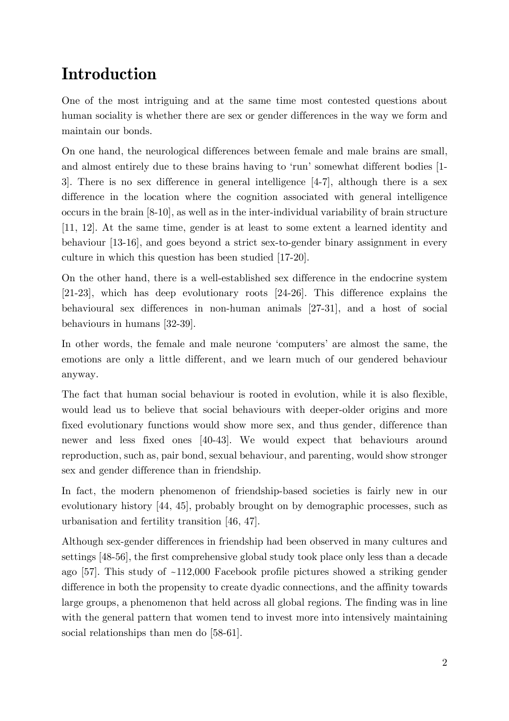# **Introduction**

One of the most intriguing and at the same time most contested questions about human sociality is whether there are sex or gender differences in the way we form and maintain our bonds.

On one hand, the neurological differences between female and male brains are small, and almost entirely due to these brains having to 'run' somewhat different bodies [1- 3]. There is no sex difference in general intelligence [4-7], although there is a sex difference in the location where the cognition associated with general intelligence occurs in the brain [8-10], as well as in the inter-individual variability of brain structure [11, 12]. At the same time, gender is at least to some extent a learned identity and behaviour [13-16], and goes beyond a strict sex-to-gender binary assignment in every culture in which this question has been studied [17-20].

On the other hand, there is a well-established sex difference in the endocrine system [21-23], which has deep evolutionary roots [24-26]. This difference explains the behavioural sex differences in non-human animals [27-31], and a host of social behaviours in humans [32-39].

In other words, the female and male neurone 'computers' are almost the same, the emotions are only a little different, and we learn much of our gendered behaviour anyway.

The fact that human social behaviour is rooted in evolution, while it is also flexible, would lead us to believe that social behaviours with deeper-older origins and more fixed evolutionary functions would show more sex, and thus gender, difference than newer and less fixed ones [40-43]. We would expect that behaviours around reproduction, such as, pair bond, sexual behaviour, and parenting, would show stronger sex and gender difference than in friendship.

In fact, the modern phenomenon of friendship-based societies is fairly new in our evolutionary history [44, 45], probably brought on by demographic processes, such as urbanisation and fertility transition [46, 47].

Although sex-gender differences in friendship had been observed in many cultures and settings [48-56], the first comprehensive global study took place only less than a decade ago  $[57]$ . This study of  $\sim 112,000$  Facebook profile pictures showed a striking gender difference in both the propensity to create dyadic connections, and the affinity towards large groups, a phenomenon that held across all global regions. The finding was in line with the general pattern that women tend to invest more into intensively maintaining social relationships than men do [58-61].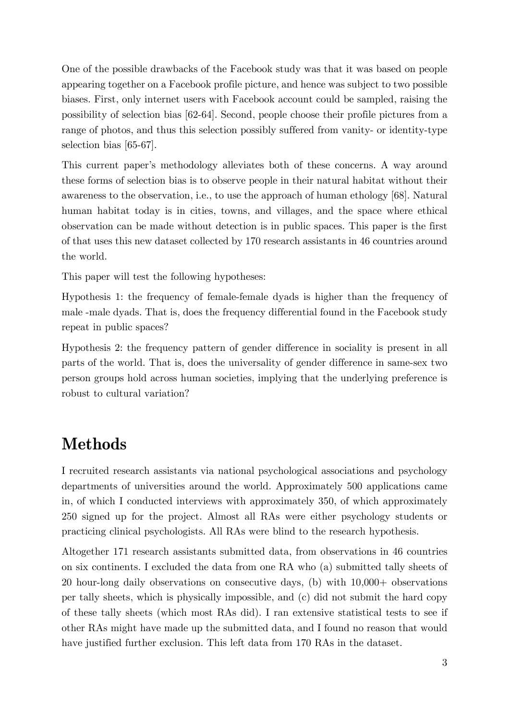One of the possible drawbacks of the Facebook study was that it was based on people appearing together on a Facebook profile picture, and hence was subject to two possible biases. First, only internet users with Facebook account could be sampled, raising the possibility of selection bias [62-64]. Second, people choose their profile pictures from a range of photos, and thus this selection possibly suffered from vanity- or identity-type selection bias [65-67].

This current paper's methodology alleviates both of these concerns. A way around these forms of selection bias is to observe people in their natural habitat without their awareness to the observation, i.e., to use the approach of human ethology [68]. Natural human habitat today is in cities, towns, and villages, and the space where ethical observation can be made without detection is in public spaces. This paper is the first of that uses this new dataset collected by 170 research assistants in 46 countries around the world.

This paper will test the following hypotheses:

Hypothesis 1: the frequency of female-female dyads is higher than the frequency of male -male dyads. That is, does the frequency differential found in the Facebook study repeat in public spaces?

Hypothesis 2: the frequency pattern of gender difference in sociality is present in all parts of the world. That is, does the universality of gender difference in same-sex two person groups hold across human societies, implying that the underlying preference is robust to cultural variation?

### **Methods**

I recruited research assistants via national psychological associations and psychology departments of universities around the world. Approximately 500 applications came in, of which I conducted interviews with approximately 350, of which approximately 250 signed up for the project. Almost all RAs were either psychology students or practicing clinical psychologists. All RAs were blind to the research hypothesis.

Altogether 171 research assistants submitted data, from observations in 46 countries on six continents. I excluded the data from one RA who (a) submitted tally sheets of 20 hour-long daily observations on consecutive days, (b) with 10,000+ observations per tally sheets, which is physically impossible, and (c) did not submit the hard copy of these tally sheets (which most RAs did). I ran extensive statistical tests to see if other RAs might have made up the submitted data, and I found no reason that would have justified further exclusion. This left data from 170 RAs in the dataset.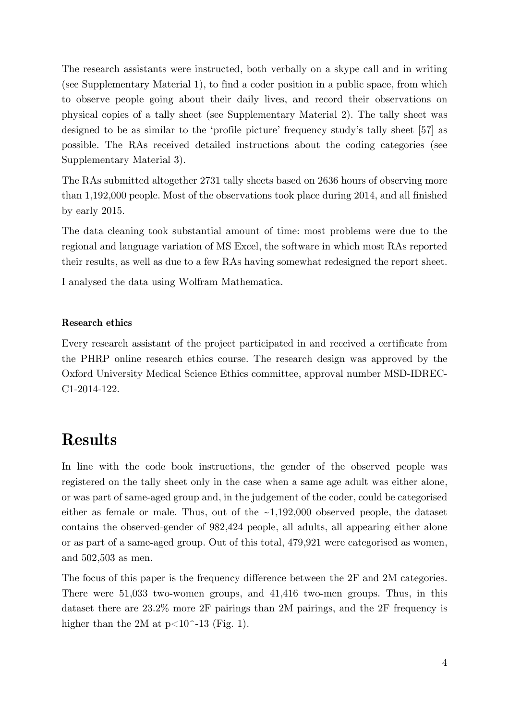The research assistants were instructed, both verbally on a skype call and in writing (see Supplementary Material 1), to find a coder position in a public space, from which to observe people going about their daily lives, and record their observations on physical copies of a tally sheet (see Supplementary Material 2). The tally sheet was designed to be as similar to the 'profile picture' frequency study's tally sheet [57] as possible. The RAs received detailed instructions about the coding categories (see Supplementary Material 3).

The RAs submitted altogether 2731 tally sheets based on 2636 hours of observing more than 1,192,000 people. Most of the observations took place during 2014, and all finished by early 2015.

The data cleaning took substantial amount of time: most problems were due to the regional and language variation of MS Excel, the software in which most RAs reported their results, as well as due to a few RAs having somewhat redesigned the report sheet.

I analysed the data using Wolfram Mathematica.

#### **Research ethics**

Every research assistant of the project participated in and received a certificate from the PHRP online research ethics course. The research design was approved by the Oxford University Medical Science Ethics committee, approval number MSD-IDREC-C1-2014-122.

### **Results**

In line with the code book instructions, the gender of the observed people was registered on the tally sheet only in the case when a same age adult was either alone, or was part of same-aged group and, in the judgement of the coder, could be categorised either as female or male. Thus, out of the ~1,192,000 observed people, the dataset contains the observed-gender of 982,424 people, all adults, all appearing either alone or as part of a same-aged group. Out of this total, 479,921 were categorised as women, and 502,503 as men.

The focus of this paper is the frequency difference between the 2F and 2M categories. There were 51,033 two-women groups, and 41,416 two-men groups. Thus, in this dataset there are 23.2% more 2F pairings than 2M pairings, and the 2F frequency is higher than the 2M at  $p<10$ <sup>-13</sup> (Fig. 1).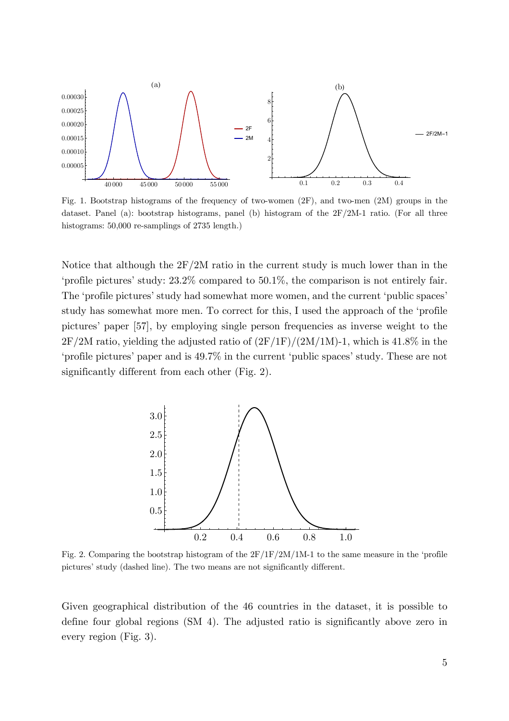

Fig. 1. Bootstrap histograms of the frequency of two-women (2F), and two-men (2M) groups in the dataset. Panel (a): bootstrap histograms, panel (b) histogram of the 2F/2M-1 ratio. (For all three histograms: 50,000 re-samplings of 2735 length.)

Notice that although the 2F/2M ratio in the current study is much lower than in the 'profile pictures' study: 23.2% compared to 50.1%, the comparison is not entirely fair. The 'profile pictures' study had somewhat more women, and the current 'public spaces' study has somewhat more men. To correct for this, I used the approach of the 'profile pictures' paper [57], by employing single person frequencies as inverse weight to the  $2F/2M$  ratio, yielding the adjusted ratio of  $(2F/1F)/(2M/1M)$ -1, which is 41.8% in the 'profile pictures' paper and is 49.7% in the current 'public spaces' study. These are not significantly different from each other (Fig. 2).



Fig. 2. Comparing the bootstrap histogram of the  $2F/IF/2M/1M-1$  to the same measure in the 'profile pictures' study (dashed line). The two means are not significantly different.

Given geographical distribution of the 46 countries in the dataset, it is possible to define four global regions (SM 4). The adjusted ratio is significantly above zero in every region (Fig. 3).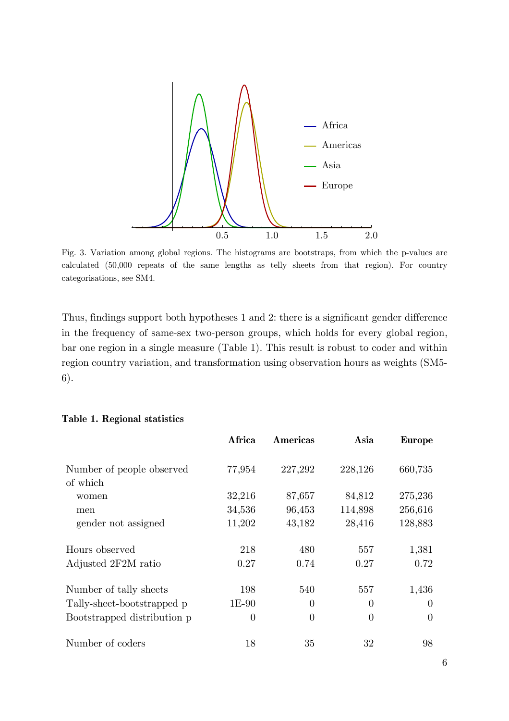

Fig. 3. Variation among global regions. The histograms are bootstraps, from which the p-values are calculated (50,000 repeats of the same lengths as telly sheets from that region). For country categorisations, see SM4.

Thus, findings support both hypotheses 1 and 2: there is a significant gender difference in the frequency of same-sex two-person groups, which holds for every global region, bar one region in a single measure (Table 1). This result is robust to coder and within region country variation, and transformation using observation hours as weights (SM5- 6).

|                             | Africa   | Americas | Asia           | <b>Europe</b>  |
|-----------------------------|----------|----------|----------------|----------------|
| Number of people observed   | 77,954   | 227,292  | 228,126        | 660,735        |
| of which                    |          |          |                |                |
| women                       | 32,216   | 87,657   | 84,812         | 275,236        |
| men                         | 34,536   | 96,453   | 114,898        | 256,616        |
| gender not assigned         | 11,202   | 43,182   | 28,416         | 128,883        |
| Hours observed              | 218      | 480      | 557            | 1,381          |
| Adjusted 2F2M ratio         | 0.27     | 0.74     | 0.27           | 0.72           |
| Number of tally sheets      | 198      | 540      | 557            | 1,436          |
| Tally-sheet-bootstrapped p  | $1E-90$  | $\theta$ | $\overline{0}$ | $\overline{0}$ |
| Bootstrapped distribution p | $\Omega$ | $\Omega$ | $\theta$       | $\Omega$       |
| Number of coders            | 18       | 35       | 32             | 98             |

#### **Table 1. Regional statistics**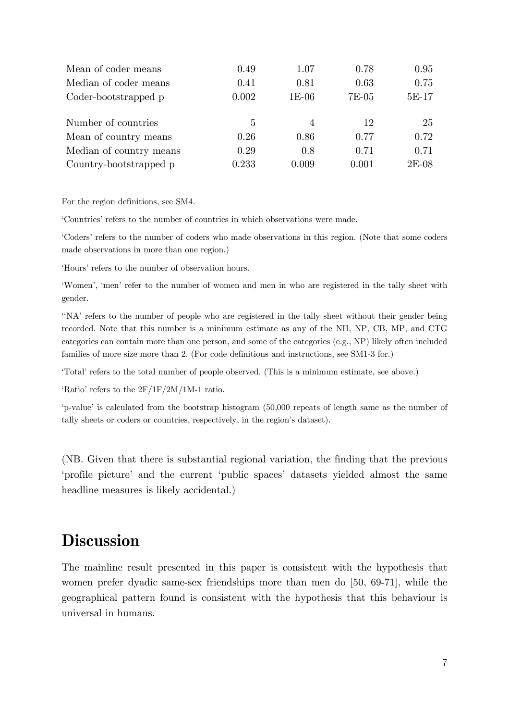| Mean of coder means     | 0.49  | 1.07           | 0.78  | 0.95    |
|-------------------------|-------|----------------|-------|---------|
| Median of coder means   | 0.41  | 0.81           | 0.63  | 0.75    |
| Coder-bootstrapped p    | 0.002 | $1E-06$        | 7E-05 | $5E-17$ |
| Number of countries     | 5     | $\overline{4}$ | 12    | 25      |
| Mean of country means   | 0.26  | 0.86           | 0.77  | 0.72    |
| Median of country means | 0.29  | 0.8            | 0.71  | 0.71    |
| Country-bootstrapped p  | 0.233 | 0.009          | 0.001 | 2E-08   |

For the region definitions, see SM4.

'Countries' refers to the number of countries in which observations were made.

'Coders' refers to the number of coders who made observations in this region. (Note that some coders made observations in more than one region.)

'Hours' refers to the number of observation hours.

'Women', 'men' refer to the number of women and men in who are registered in the tally sheet with gender.

''NA' refers to the number of people who are registered in the tally sheet without their gender being recorded. Note that this number is a minimum estimate as any of the NH, NP, CB, MP, and CTG categories can contain more than one person, and some of the categories (e.g., NP) likely often included families of more size more than 2. (For code definitions and instructions, see SM1-3 for.)

'Total' refers to the total number of people observed. (This is a minimum estimate, see above.)

'Ratio' refers to the 2F/1F/2M/1M-1 ratio.

'p-value' is calculated from the bootstrap histogram (50,000 repeats of length same as the number of tally sheets or coders or countries, respectively, in the region's dataset).

(NB. Given that there is substantial regional variation, the finding that the previous 'profile picture' and the current 'public spaces' datasets yielded almost the same headline measures is likely accidental.)

## **Discussion**

The mainline result presented in this paper is consistent with the hypothesis that women prefer dyadic same-sex friendships more than men do [50, 69-71], while the geographical pattern found is consistent with the hypothesis that this behaviour is universal in humans.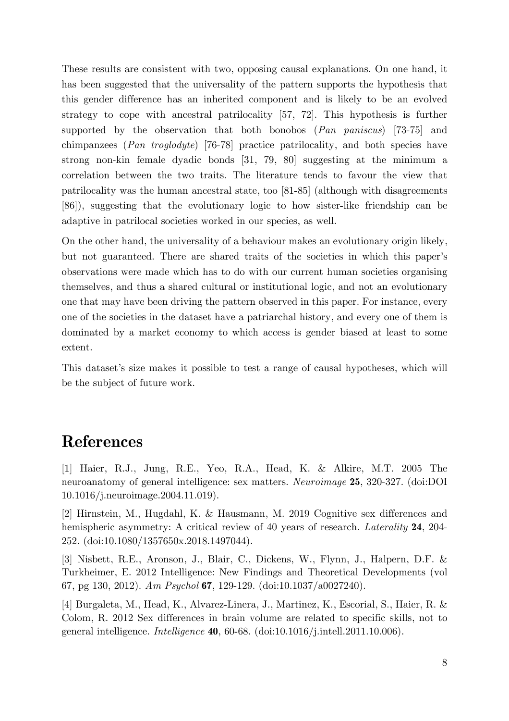These results are consistent with two, opposing causal explanations. On one hand, it has been suggested that the universality of the pattern supports the hypothesis that this gender difference has an inherited component and is likely to be an evolved strategy to cope with ancestral patrilocality [57, 72]. This hypothesis is further supported by the observation that both bonobos (*Pan paniscus*) [73-75] and chimpanzees (*Pan troglodyte*) [76-78] practice patrilocality, and both species have strong non-kin female dyadic bonds [31, 79, 80] suggesting at the minimum a correlation between the two traits. The literature tends to favour the view that patrilocality was the human ancestral state, too [81-85] (although with disagreements [86]), suggesting that the evolutionary logic to how sister-like friendship can be adaptive in patrilocal societies worked in our species, as well.

On the other hand, the universality of a behaviour makes an evolutionary origin likely, but not guaranteed. There are shared traits of the societies in which this paper's observations were made which has to do with our current human societies organising themselves, and thus a shared cultural or institutional logic, and not an evolutionary one that may have been driving the pattern observed in this paper. For instance, every one of the societies in the dataset have a patriarchal history, and every one of them is dominated by a market economy to which access is gender biased at least to some extent.

This dataset's size makes it possible to test a range of causal hypotheses, which will be the subject of future work.

## **References**

[1] Haier, R.J., Jung, R.E., Yeo, R.A., Head, K. & Alkire, M.T. 2005 The neuroanatomy of general intelligence: sex matters. *Neuroimage* **25**, 320-327. (doi:DOI 10.1016/j.neuroimage.2004.11.019).

[2] Hirnstein, M., Hugdahl, K. & Hausmann, M. 2019 Cognitive sex differences and hemispheric asymmetry: A critical review of 40 years of research. *Laterality* **24**, 204- 252. (doi:10.1080/1357650x.2018.1497044).

[3] Nisbett, R.E., Aronson, J., Blair, C., Dickens, W., Flynn, J., Halpern, D.F. & Turkheimer, E. 2012 Intelligence: New Findings and Theoretical Developments (vol 67, pg 130, 2012). *Am Psychol* **67**, 129-129. (doi:10.1037/a0027240).

[4] Burgaleta, M., Head, K., Alvarez-Linera, J., Martinez, K., Escorial, S., Haier, R. & Colom, R. 2012 Sex differences in brain volume are related to specific skills, not to general intelligence. *Intelligence* **40**, 60-68. (doi:10.1016/j.intell.2011.10.006).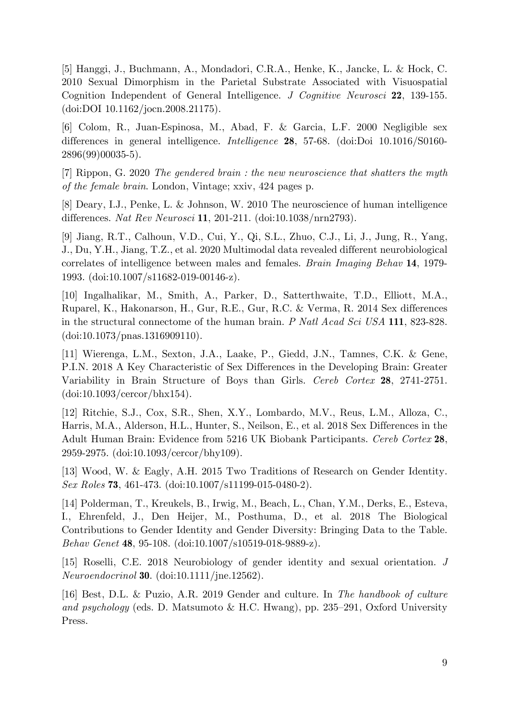[5] Hanggi, J., Buchmann, A., Mondadori, C.R.A., Henke, K., Jancke, L. & Hock, C. 2010 Sexual Dimorphism in the Parietal Substrate Associated with Visuospatial Cognition Independent of General Intelligence. *J Cognitive Neurosci* **22**, 139-155. (doi:DOI 10.1162/jocn.2008.21175).

[6] Colom, R., Juan-Espinosa, M., Abad, F. & Garcia, L.F. 2000 Negligible sex differences in general intelligence. *Intelligence* **28**, 57-68. (doi:Doi 10.1016/S0160- 2896(99)00035-5).

[7] Rippon, G. 2020 *The gendered brain : the new neuroscience that shatters the myth of the female brain*. London, Vintage; xxiv, 424 pages p.

[8] Deary, I.J., Penke, L. & Johnson, W. 2010 The neuroscience of human intelligence differences. *Nat Rev Neurosci* **11**, 201-211. (doi:10.1038/nrn2793).

[9] Jiang, R.T., Calhoun, V.D., Cui, Y., Qi, S.L., Zhuo, C.J., Li, J., Jung, R., Yang, J., Du, Y.H., Jiang, T.Z., et al. 2020 Multimodal data revealed different neurobiological correlates of intelligence between males and females. *Brain Imaging Behav* **14**, 1979- 1993. (doi:10.1007/s11682-019-00146-z).

[10] Ingalhalikar, M., Smith, A., Parker, D., Satterthwaite, T.D., Elliott, M.A., Ruparel, K., Hakonarson, H., Gur, R.E., Gur, R.C. & Verma, R. 2014 Sex differences in the structural connectome of the human brain. *P Natl Acad Sci USA* **111**, 823-828. (doi:10.1073/pnas.1316909110).

[11] Wierenga, L.M., Sexton, J.A., Laake, P., Giedd, J.N., Tamnes, C.K. & Gene, P.I.N. 2018 A Key Characteristic of Sex Differences in the Developing Brain: Greater Variability in Brain Structure of Boys than Girls. *Cereb Cortex* **28**, 2741-2751. (doi:10.1093/cercor/bhx154).

[12] Ritchie, S.J., Cox, S.R., Shen, X.Y., Lombardo, M.V., Reus, L.M., Alloza, C., Harris, M.A., Alderson, H.L., Hunter, S., Neilson, E., et al. 2018 Sex Differences in the Adult Human Brain: Evidence from 5216 UK Biobank Participants. *Cereb Cortex* **28**, 2959-2975. (doi:10.1093/cercor/bhy109).

[13] Wood, W. & Eagly, A.H. 2015 Two Traditions of Research on Gender Identity. *Sex Roles* **73**, 461-473. (doi:10.1007/s11199-015-0480-2).

[14] Polderman, T., Kreukels, B., Irwig, M., Beach, L., Chan, Y.M., Derks, E., Esteva, I., Ehrenfeld, J., Den Heijer, M., Posthuma, D., et al. 2018 The Biological Contributions to Gender Identity and Gender Diversity: Bringing Data to the Table. *Behav Genet* **48**, 95-108. (doi:10.1007/s10519-018-9889-z).

[15] Roselli, C.E. 2018 Neurobiology of gender identity and sexual orientation. *J Neuroendocrinol* **30**. (doi:10.1111/jne.12562).

[16] Best, D.L. & Puzio, A.R. 2019 Gender and culture. In *The handbook of culture and psychology* (eds. D. Matsumoto & H.C. Hwang), pp. 235–291, Oxford University Press.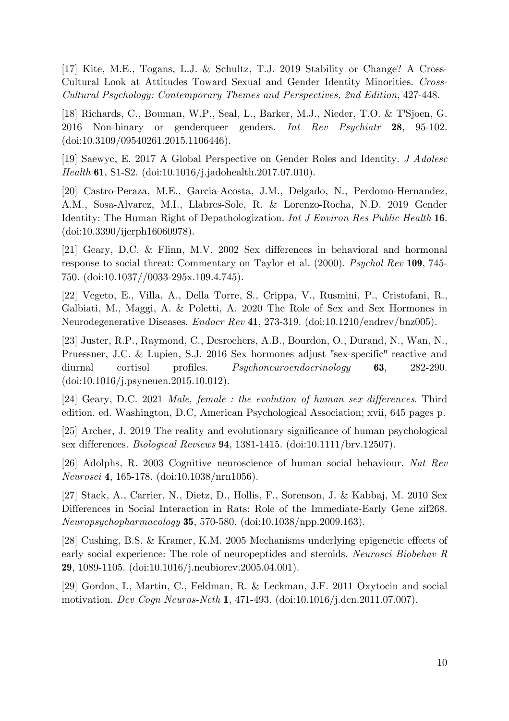[17] Kite, M.E., Togans, L.J. & Schultz, T.J. 2019 Stability or Change? A Cross-Cultural Look at Attitudes Toward Sexual and Gender Identity Minorities. *Cross-Cultural Psychology: Contemporary Themes and Perspectives, 2nd Edition*, 427-448.

[18] Richards, C., Bouman, W.P., Seal, L., Barker, M.J., Nieder, T.O. & T'Sjoen, G. 2016 Non-binary or genderqueer genders. *Int Rev Psychiatr* **28**, 95-102. (doi:10.3109/09540261.2015.1106446).

[19] Saewyc, E. 2017 A Global Perspective on Gender Roles and Identity. *J Adolesc Health* **61**, S1-S2. (doi:10.1016/j.jadohealth.2017.07.010).

[20] Castro-Peraza, M.E., Garcia-Acosta, J.M., Delgado, N., Perdomo-Hernandez, A.M., Sosa-Alvarez, M.I., Llabres-Sole, R. & Lorenzo-Rocha, N.D. 2019 Gender Identity: The Human Right of Depathologization. *Int J Environ Res Public Health* **16**. (doi:10.3390/ijerph16060978).

[21] Geary, D.C. & Flinn, M.V. 2002 Sex differences in behavioral and hormonal response to social threat: Commentary on Taylor et al. (2000). *Psychol Rev* **109**, 745- 750. (doi:10.1037//0033-295x.109.4.745).

[22] Vegeto, E., Villa, A., Della Torre, S., Crippa, V., Rusmini, P., Cristofani, R., Galbiati, M., Maggi, A. & Poletti, A. 2020 The Role of Sex and Sex Hormones in Neurodegenerative Diseases. *Endocr Rev* **41**, 273-319. (doi:10.1210/endrev/bnz005).

[23] Juster, R.P., Raymond, C., Desrochers, A.B., Bourdon, O., Durand, N., Wan, N., Pruessner, J.C. & Lupien, S.J. 2016 Sex hormones adjust "sex-specific" reactive and diurnal cortisol profiles. *Psychoneuroendocrinology* **63**, 282-290. (doi:10.1016/j.psyneuen.2015.10.012).

[24] Geary, D.C. 2021 *Male, female : the evolution of human sex differences*. Third edition. ed. Washington, D.C, American Psychological Association; xvii, 645 pages p.

[25] Archer, J. 2019 The reality and evolutionary significance of human psychological sex differences. *Biological Reviews* **94**, 1381-1415. (doi:10.1111/brv.12507).

[26] Adolphs, R. 2003 Cognitive neuroscience of human social behaviour. *Nat Rev Neurosci* **4**, 165-178. (doi:10.1038/nrn1056).

[27] Stack, A., Carrier, N., Dietz, D., Hollis, F., Sorenson, J. & Kabbaj, M. 2010 Sex Differences in Social Interaction in Rats: Role of the Immediate-Early Gene zif268. *Neuropsychopharmacology* **35**, 570-580. (doi:10.1038/npp.2009.163).

[28] Cushing, B.S. & Kramer, K.M. 2005 Mechanisms underlying epigenetic effects of early social experience: The role of neuropeptides and steroids. *Neurosci Biobehav R* **29**, 1089-1105. (doi:10.1016/j.neubiorev.2005.04.001).

[29] Gordon, I., Martin, C., Feldman, R. & Leckman, J.F. 2011 Oxytocin and social motivation. *Dev Cogn Neuros-Neth* **1**, 471-493. (doi:10.1016/j.dcn.2011.07.007).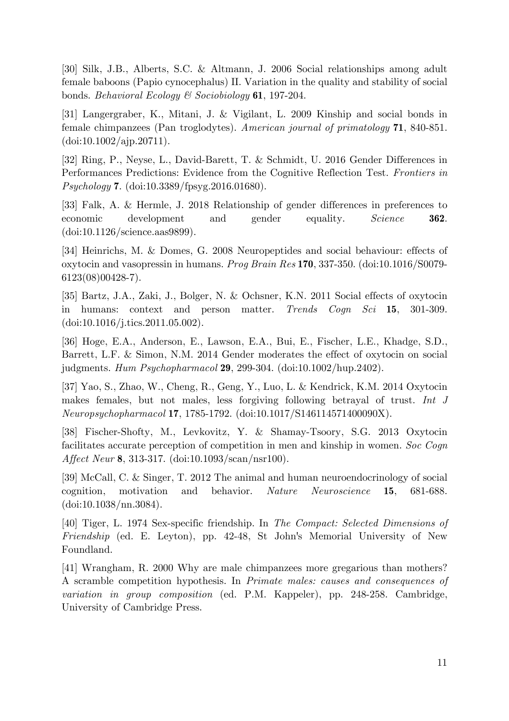[30] Silk, J.B., Alberts, S.C. & Altmann, J. 2006 Social relationships among adult female baboons (Papio cynocephalus) II. Variation in the quality and stability of social bonds. *Behavioral Ecology & Sociobiology* **61**, 197-204.

[31] Langergraber, K., Mitani, J. & Vigilant, L. 2009 Kinship and social bonds in female chimpanzees (Pan troglodytes). *American journal of primatology* **71**, 840-851.  $(doi:10.1002/aip.20711).$ 

[32] Ring, P., Neyse, L., David-Barett, T. & Schmidt, U. 2016 Gender Differences in Performances Predictions: Evidence from the Cognitive Reflection Test. *Frontiers in Psychology* **7**. (doi:10.3389/fpsyg.2016.01680).

[33] Falk, A. & Hermle, J. 2018 Relationship of gender differences in preferences to economic development and gender equality. *Science* **362**. (doi:10.1126/science.aas9899).

[34] Heinrichs, M. & Domes, G. 2008 Neuropeptides and social behaviour: effects of oxytocin and vasopressin in humans. *Prog Brain Res* **170**, 337-350. (doi:10.1016/S0079- 6123(08)00428-7).

[35] Bartz, J.A., Zaki, J., Bolger, N. & Ochsner, K.N. 2011 Social effects of oxytocin in humans: context and person matter. *Trends Cogn Sci* **15**, 301-309. (doi:10.1016/j.tics.2011.05.002).

[36] Hoge, E.A., Anderson, E., Lawson, E.A., Bui, E., Fischer, L.E., Khadge, S.D., Barrett, L.F. & Simon, N.M. 2014 Gender moderates the effect of oxytocin on social judgments. *Hum Psychopharmacol* **29**, 299-304. (doi:10.1002/hup.2402).

[37] Yao, S., Zhao, W., Cheng, R., Geng, Y., Luo, L. & Kendrick, K.M. 2014 Oxytocin makes females, but not males, less forgiving following betrayal of trust. *Int J Neuropsychopharmacol* **17**, 1785-1792. (doi:10.1017/S146114571400090X).

[38] Fischer-Shofty, M., Levkovitz, Y. & Shamay-Tsoory, S.G. 2013 Oxytocin facilitates accurate perception of competition in men and kinship in women. *Soc Cogn Affect Neur* **8**, 313-317. (doi:10.1093/scan/nsr100).

[39] McCall, C. & Singer, T. 2012 The animal and human neuroendocrinology of social cognition, motivation and behavior. *Nature Neuroscience* **15**, 681-688. (doi:10.1038/nn.3084).

[40] Tiger, L. 1974 Sex-specific friendship. In *The Compact: Selected Dimensions of Friendship* (ed. E. Leyton), pp. 42-48, St John's Memorial University of New Foundland.

[41] Wrangham, R. 2000 Why are male chimpanzees more gregarious than mothers? A scramble competition hypothesis. In *Primate males: causes and consequences of variation in group composition* (ed. P.M. Kappeler), pp. 248-258. Cambridge, University of Cambridge Press.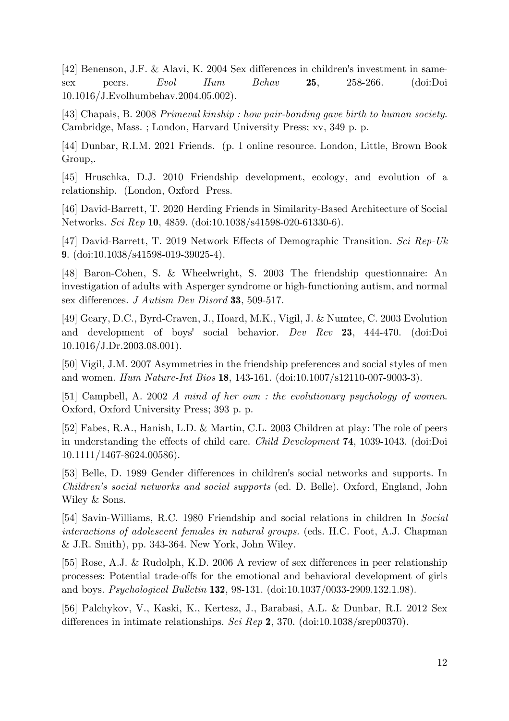[42] Benenson, J.F. & Alavi, K. 2004 Sex differences in children's investment in samesex peers. *Evol Hum Behav* **25**, 258-266. (doi:Doi 10.1016/J.Evolhumbehav.2004.05.002).

[43] Chapais, B. 2008 *Primeval kinship : how pair-bonding gave birth to human society*. Cambridge, Mass. ; London, Harvard University Press; xv, 349 p. p.

[44] Dunbar, R.I.M. 2021 Friends. (p. 1 online resource. London, Little, Brown Book Group,.

[45] Hruschka, D.J. 2010 Friendship development, ecology, and evolution of a relationship. (London, Oxford Press.

[46] David-Barrett, T. 2020 Herding Friends in Similarity-Based Architecture of Social Networks. *Sci Rep* **10**, 4859. (doi:10.1038/s41598-020-61330-6).

[47] David-Barrett, T. 2019 Network Effects of Demographic Transition. *Sci Rep-Uk* **9**. (doi:10.1038/s41598-019-39025-4).

[48] Baron-Cohen, S. & Wheelwright, S. 2003 The friendship questionnaire: An investigation of adults with Asperger syndrome or high-functioning autism, and normal sex differences. *J Autism Dev Disord* **33**, 509-517.

[49] Geary, D.C., Byrd-Craven, J., Hoard, M.K., Vigil, J. & Numtee, C. 2003 Evolution and development of boys' social behavior. *Dev Rev* **23**, 444-470. (doi:Doi  $10.1016/J.Dr.2003.08.001$ .

[50] Vigil, J.M. 2007 Asymmetries in the friendship preferences and social styles of men and women. *Hum Nature-Int Bios* **18**, 143-161. (doi:10.1007/s12110-007-9003-3).

[51] Campbell, A. 2002 *A mind of her own : the evolutionary psychology of women*. Oxford, Oxford University Press; 393 p. p.

[52] Fabes, R.A., Hanish, L.D. & Martin, C.L. 2003 Children at play: The role of peers in understanding the effects of child care. *Child Development* **74**, 1039-1043. (doi:Doi 10.1111/1467-8624.00586).

[53] Belle, D. 1989 Gender differences in children's social networks and supports. In *Children's social networks and social supports* (ed. D. Belle). Oxford, England, John Wiley & Sons.

[54] Savin-Williams, R.C. 1980 Friendship and social relations in children In *Social interactions of adolescent females in natural groups.* (eds. H.C. Foot, A.J. Chapman & J.R. Smith), pp. 343-364. New York, John Wiley.

[55] Rose, A.J. & Rudolph, K.D. 2006 A review of sex differences in peer relationship processes: Potential trade-offs for the emotional and behavioral development of girls and boys. *Psychological Bulletin* **132**, 98-131. (doi:10.1037/0033-2909.132.1.98).

[56] Palchykov, V., Kaski, K., Kertesz, J., Barabasi, A.L. & Dunbar, R.I. 2012 Sex differences in intimate relationships. *Sci Rep* **2**, 370. (doi:10.1038/srep00370).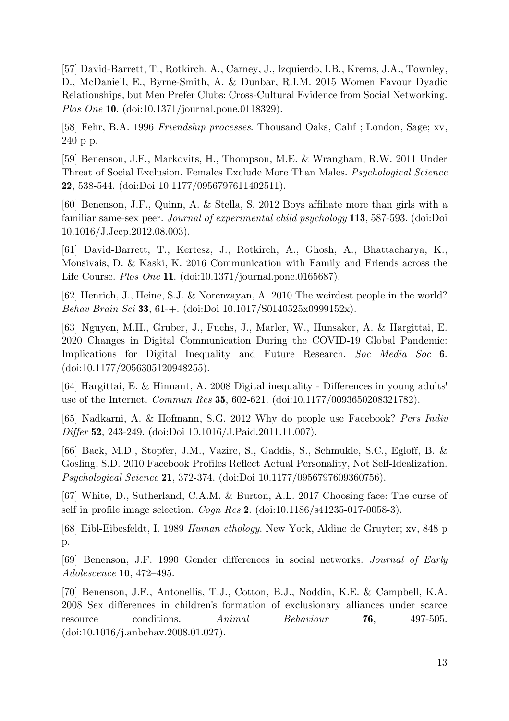[57] David-Barrett, T., Rotkirch, A., Carney, J., Izquierdo, I.B., Krems, J.A., Townley, D., McDaniell, E., Byrne-Smith, A. & Dunbar, R.I.M. 2015 Women Favour Dyadic Relationships, but Men Prefer Clubs: Cross-Cultural Evidence from Social Networking. *Plos One* **10**. (doi:10.1371/journal.pone.0118329).

[58] Fehr, B.A. 1996 *Friendship processes*. Thousand Oaks, Calif ; London, Sage; xv, 240 p p.

[59] Benenson, J.F., Markovits, H., Thompson, M.E. & Wrangham, R.W. 2011 Under Threat of Social Exclusion, Females Exclude More Than Males. *Psychological Science* **22**, 538-544. (doi:Doi 10.1177/0956797611402511).

[60] Benenson, J.F., Quinn, A. & Stella, S. 2012 Boys affiliate more than girls with a familiar same-sex peer. *Journal of experimental child psychology* **113**, 587-593. (doi:Doi 10.1016/J.Jecp.2012.08.003).

[61] David-Barrett, T., Kertesz, J., Rotkirch, A., Ghosh, A., Bhattacharya, K., Monsivais, D. & Kaski, K. 2016 Communication with Family and Friends across the Life Course. *Plos One* **11**. (doi:10.1371/journal.pone.0165687).

[62] Henrich, J., Heine, S.J. & Norenzayan, A. 2010 The weirdest people in the world? *Behav Brain Sci* **33**, 61-+. (doi:Doi 10.1017/S0140525x0999152x).

[63] Nguyen, M.H., Gruber, J., Fuchs, J., Marler, W., Hunsaker, A. & Hargittai, E. 2020 Changes in Digital Communication During the COVID-19 Global Pandemic: Implications for Digital Inequality and Future Research. *Soc Media Soc* **6**. (doi:10.1177/2056305120948255).

[64] Hargittai, E. & Hinnant, A. 2008 Digital inequality - Differences in young adults' use of the Internet. *Commun Res* **35**, 602-621. (doi:10.1177/0093650208321782).

[65] Nadkarni, A. & Hofmann, S.G. 2012 Why do people use Facebook? *Pers Indiv Differ* **52**, 243-249. (doi:Doi 10.1016/J.Paid.2011.11.007).

[66] Back, M.D., Stopfer, J.M., Vazire, S., Gaddis, S., Schmukle, S.C., Egloff, B. & Gosling, S.D. 2010 Facebook Profiles Reflect Actual Personality, Not Self-Idealization. *Psychological Science* **21**, 372-374. (doi:Doi 10.1177/0956797609360756).

[67] White, D., Sutherland, C.A.M. & Burton, A.L. 2017 Choosing face: The curse of self in profile image selection. *Cogn Res* **2**. (doi:10.1186/s41235-017-0058-3).

[68] Eibl-Eibesfeldt, I. 1989 *Human ethology*. New York, Aldine de Gruyter; xv, 848 p p.

[69] Benenson, J.F. 1990 Gender differences in social networks. *Journal of Early Adolescence* **10**, 472–495.

[70] Benenson, J.F., Antonellis, T.J., Cotton, B.J., Noddin, K.E. & Campbell, K.A. 2008 Sex differences in children's formation of exclusionary alliances under scarce resource conditions. *Animal Behaviour* **76**, 497-505. (doi:10.1016/j.anbehav.2008.01.027).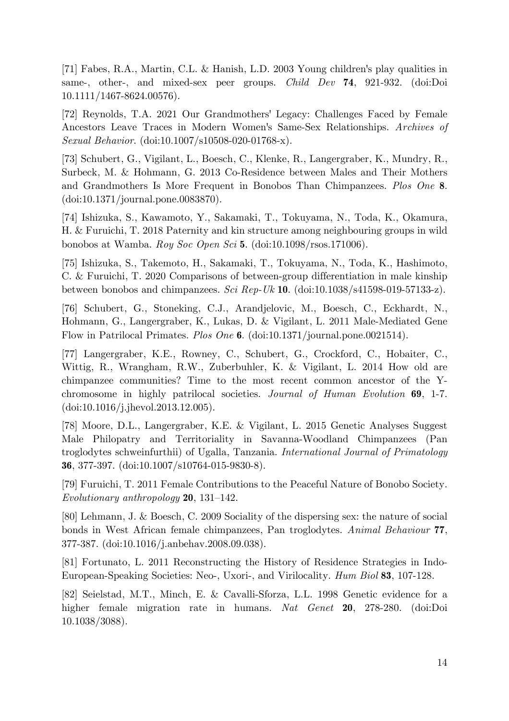[71] Fabes, R.A., Martin, C.L. & Hanish, L.D. 2003 Young children's play qualities in same-, other-, and mixed-sex peer groups. *Child Dev* **74**, 921-932. (doi:Doi 10.1111/1467-8624.00576).

[72] Reynolds, T.A. 2021 Our Grandmothers' Legacy: Challenges Faced by Female Ancestors Leave Traces in Modern Women's Same-Sex Relationships. *Archives of Sexual Behavior*. (doi:10.1007/s10508-020-01768-x).

[73] Schubert, G., Vigilant, L., Boesch, C., Klenke, R., Langergraber, K., Mundry, R., Surbeck, M. & Hohmann, G. 2013 Co-Residence between Males and Their Mothers and Grandmothers Is More Frequent in Bonobos Than Chimpanzees. *Plos One* **8**. (doi:10.1371/journal.pone.0083870).

[74] Ishizuka, S., Kawamoto, Y., Sakamaki, T., Tokuyama, N., Toda, K., Okamura, H. & Furuichi, T. 2018 Paternity and kin structure among neighbouring groups in wild bonobos at Wamba. *Roy Soc Open Sci* **5**. (doi:10.1098/rsos.171006).

[75] Ishizuka, S., Takemoto, H., Sakamaki, T., Tokuyama, N., Toda, K., Hashimoto, C. & Furuichi, T. 2020 Comparisons of between-group differentiation in male kinship between bonobos and chimpanzees. *Sci Rep-Uk* **10**. (doi:10.1038/s41598-019-57133-z).

[76] Schubert, G., Stoneking, C.J., Arandjelovic, M., Boesch, C., Eckhardt, N., Hohmann, G., Langergraber, K., Lukas, D. & Vigilant, L. 2011 Male-Mediated Gene Flow in Patrilocal Primates. *Plos One* **6**. (doi:10.1371/journal.pone.0021514).

[77] Langergraber, K.E., Rowney, C., Schubert, G., Crockford, C., Hobaiter, C., Wittig, R., Wrangham, R.W., Zuberbuhler, K. & Vigilant, L. 2014 How old are chimpanzee communities? Time to the most recent common ancestor of the Ychromosome in highly patrilocal societies. *Journal of Human Evolution* **69**, 1-7. (doi:10.1016/j.jhevol.2013.12.005).

[78] Moore, D.L., Langergraber, K.E. & Vigilant, L. 2015 Genetic Analyses Suggest Male Philopatry and Territoriality in Savanna-Woodland Chimpanzees (Pan troglodytes schweinfurthii) of Ugalla, Tanzania. *International Journal of Primatology* **36**, 377-397. (doi:10.1007/s10764-015-9830-8).

[79] Furuichi, T. 2011 Female Contributions to the Peaceful Nature of Bonobo Society. *Evolutionary anthropology* **20**, 131–142.

[80] Lehmann, J. & Boesch, C. 2009 Sociality of the dispersing sex: the nature of social bonds in West African female chimpanzees, Pan troglodytes. *Animal Behaviour* **77**, 377-387. (doi:10.1016/j.anbehav.2008.09.038).

[81] Fortunato, L. 2011 Reconstructing the History of Residence Strategies in Indo-European-Speaking Societies: Neo-, Uxori-, and Virilocality. *Hum Biol* **83**, 107-128.

[82] Seielstad, M.T., Minch, E. & Cavalli-Sforza, L.L. 1998 Genetic evidence for a higher female migration rate in humans. *Nat Genet* **20**, 278-280. (doi:Doi 10.1038/3088).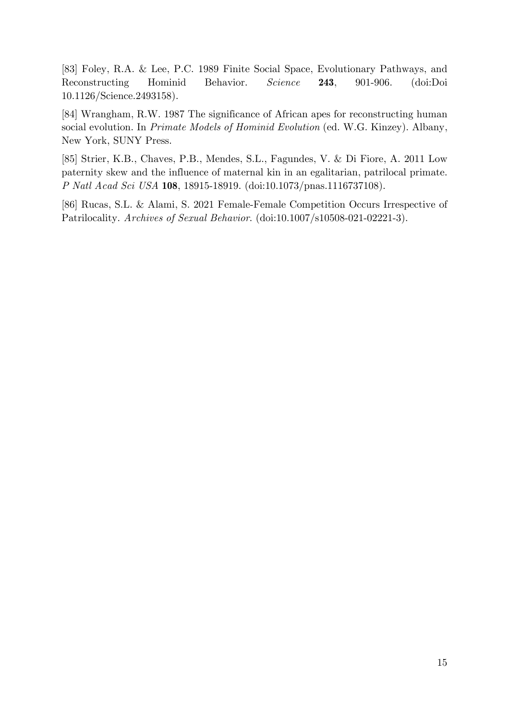[83] Foley, R.A. & Lee, P.C. 1989 Finite Social Space, Evolutionary Pathways, and Reconstructing Hominid Behavior. *Science* **243**, 901-906. (doi:Doi 10.1126/Science.2493158).

[84] Wrangham, R.W. 1987 The significance of African apes for reconstructing human social evolution. In *Primate Models of Hominid Evolution* (ed. W.G. Kinzey). Albany, New York, SUNY Press.

[85] Strier, K.B., Chaves, P.B., Mendes, S.L., Fagundes, V. & Di Fiore, A. 2011 Low paternity skew and the influence of maternal kin in an egalitarian, patrilocal primate. *P Natl Acad Sci USA* **108**, 18915-18919. (doi:10.1073/pnas.1116737108).

[86] Rucas, S.L. & Alami, S. 2021 Female-Female Competition Occurs Irrespective of Patrilocality. *Archives of Sexual Behavior*. (doi:10.1007/s10508-021-02221-3).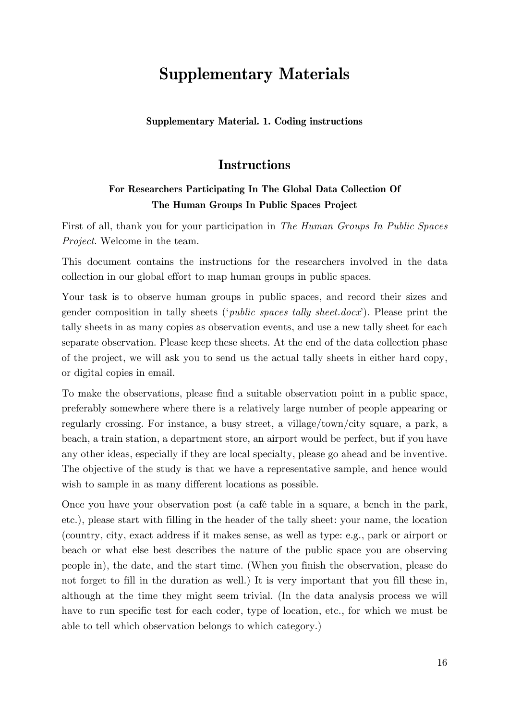# **Supplementary Materials**

**Supplementary Material. 1. Coding instructions**

### **Instructions**

#### **For Researchers Participating In The Global Data Collection Of The Human Groups In Public Spaces Project**

First of all, thank you for your participation in *The Human Groups In Public Spaces Project*. Welcome in the team.

This document contains the instructions for the researchers involved in the data collection in our global effort to map human groups in public spaces.

Your task is to observe human groups in public spaces, and record their sizes and gender composition in tally sheets ('*public spaces tally sheet.docx*'). Please print the tally sheets in as many copies as observation events, and use a new tally sheet for each separate observation. Please keep these sheets. At the end of the data collection phase of the project, we will ask you to send us the actual tally sheets in either hard copy, or digital copies in email.

To make the observations, please find a suitable observation point in a public space, preferably somewhere where there is a relatively large number of people appearing or regularly crossing. For instance, a busy street, a village/town/city square, a park, a beach, a train station, a department store, an airport would be perfect, but if you have any other ideas, especially if they are local specialty, please go ahead and be inventive. The objective of the study is that we have a representative sample, and hence would wish to sample in as many different locations as possible.

Once you have your observation post (a café table in a square, a bench in the park, etc.), please start with filling in the header of the tally sheet: your name, the location (country, city, exact address if it makes sense, as well as type: e.g., park or airport or beach or what else best describes the nature of the public space you are observing people in), the date, and the start time. (When you finish the observation, please do not forget to fill in the duration as well.) It is very important that you fill these in, although at the time they might seem trivial. (In the data analysis process we will have to run specific test for each coder, type of location, etc., for which we must be able to tell which observation belongs to which category.)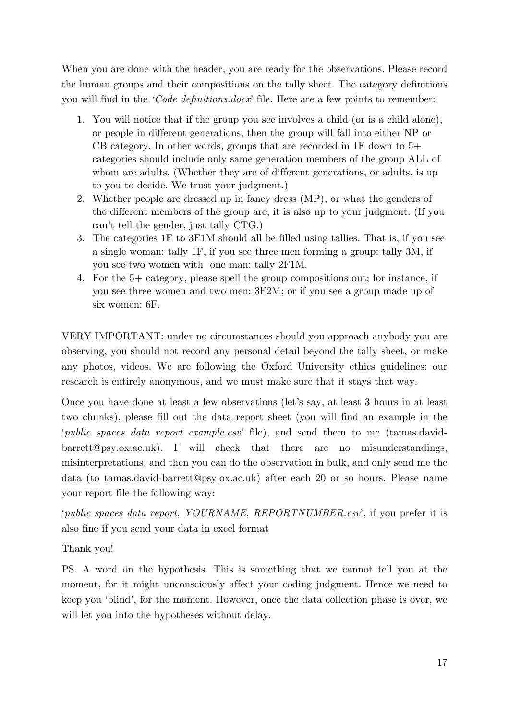When you are done with the header, you are ready for the observations. Please record the human groups and their compositions on the tally sheet. The category definitions you will find in the *'Code definitions.docx*' file. Here are a few points to remember:

- 1. You will notice that if the group you see involves a child (or is a child alone), or people in different generations, then the group will fall into either NP or CB category. In other words, groups that are recorded in  $1F$  down to  $5+$ categories should include only same generation members of the group ALL of whom are adults. (Whether they are of different generations, or adults, is up to you to decide. We trust your judgment.)
- 2. Whether people are dressed up in fancy dress (MP), or what the genders of the different members of the group are, it is also up to your judgment. (If you can't tell the gender, just tally CTG.)
- 3. The categories 1F to 3F1M should all be filled using tallies. That is, if you see a single woman: tally 1F, if you see three men forming a group: tally 3M, if you see two women with one man: tally 2F1M.
- 4. For the 5+ category, please spell the group compositions out; for instance, if you see three women and two men: 3F2M; or if you see a group made up of six women: 6F.

VERY IMPORTANT: under no circumstances should you approach anybody you are observing, you should not record any personal detail beyond the tally sheet, or make any photos, videos. We are following the Oxford University ethics guidelines: our research is entirely anonymous, and we must make sure that it stays that way.

Once you have done at least a few observations (let's say, at least 3 hours in at least two chunks), please fill out the data report sheet (you will find an example in the '*public spaces data report example.csv*' file), and send them to me (tamas.davidbarrett@psy.ox.ac.uk). I will check that there are no misunderstandings, misinterpretations, and then you can do the observation in bulk, and only send me the data (to tamas.david-barrett@psy.ox.ac.uk) after each 20 or so hours. Please name your report file the following way:

'*public spaces data report, YOURNAME, REPORTNUMBER.csv*', if you prefer it is also fine if you send your data in excel format

Thank you!

PS. A word on the hypothesis. This is something that we cannot tell you at the moment, for it might unconsciously affect your coding judgment. Hence we need to keep you 'blind', for the moment. However, once the data collection phase is over, we will let you into the hypotheses without delay.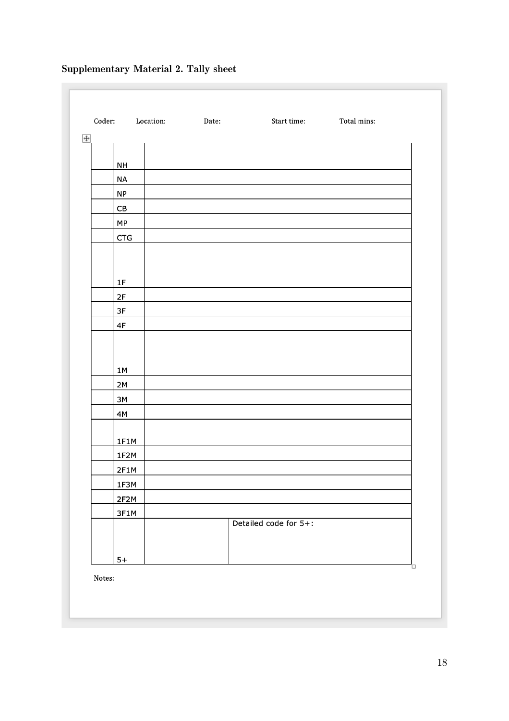# Coder: Location: Date: Start time: Total mins:  $\div$ **NH NA**  $NP$  ${\sf CB}$ **MP CTG**  $1F$  $2F$ 3F  $4F$  $1M$  $2M$ 3M 4M  $1F1M$ 1F2M  $2F1M$ 1F3M  $2F2M$ 3F1M Detailed code for 5+:  $5+$

#### **Supplementary Material 2. Tally sheet**

Notes: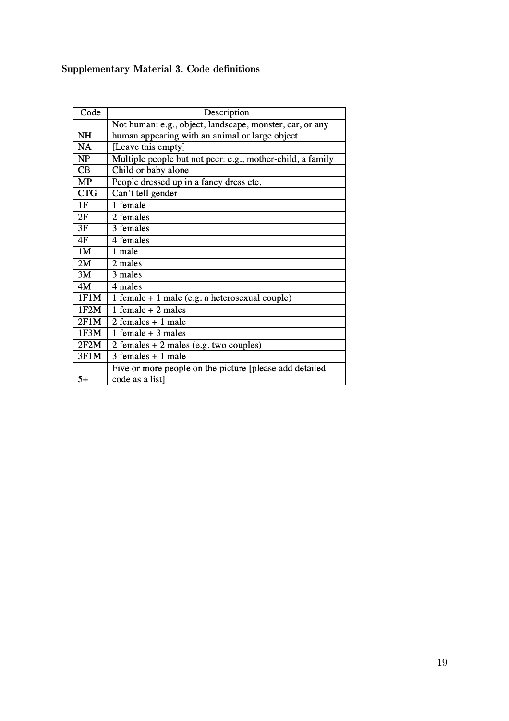### **Supplementary Material 3. Code definitions**

| Code       | Description                                                |  |  |
|------------|------------------------------------------------------------|--|--|
|            | Not human: e.g., object, landscape, monster, car, or any   |  |  |
| NH         | human appearing with an animal or large object             |  |  |
| NA         | [Leave this empty]                                         |  |  |
| NP         | Multiple people but not peer: e.g., mother-child, a family |  |  |
| CB         | Child or baby alone                                        |  |  |
| MP         | People dressed up in a fancy dress etc.                    |  |  |
| <b>CTG</b> | Can't tell gender                                          |  |  |
| 1F         | 1 female                                                   |  |  |
| 2F         | 2 females                                                  |  |  |
| 3F         | 3 females                                                  |  |  |
| 4F         | 4 females                                                  |  |  |
| 1M         | 1 male                                                     |  |  |
| 2M         | 2 males                                                    |  |  |
| 3M         | 3 males                                                    |  |  |
| 4M         | 4 males                                                    |  |  |
| 1F1M       | $1$ female $+1$ male (e.g. a heterosexual couple)          |  |  |
| 1F2M       | 1 female $+2$ males                                        |  |  |
| 2F1M       | $2$ females $+1$ male                                      |  |  |
| 1F3M       | 1 female $+3$ males                                        |  |  |
| 2F2M       | $2$ females $+ 2$ males (e.g. two couples)                 |  |  |
| 3F1M       | $3$ females $+1$ male                                      |  |  |
|            | Five or more people on the picture [please add detailed    |  |  |
| $5+$       | code as a list]                                            |  |  |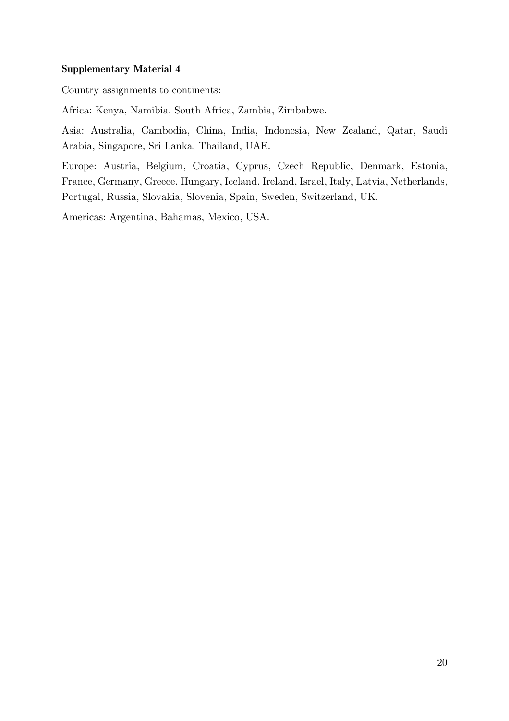#### **Supplementary Material 4**

Country assignments to continents:

Africa: Kenya, Namibia, South Africa, Zambia, Zimbabwe.

Asia: Australia, Cambodia, China, India, Indonesia, New Zealand, Qatar, Saudi Arabia, Singapore, Sri Lanka, Thailand, UAE.

Europe: Austria, Belgium, Croatia, Cyprus, Czech Republic, Denmark, Estonia, France, Germany, Greece, Hungary, Iceland, Ireland, Israel, Italy, Latvia, Netherlands, Portugal, Russia, Slovakia, Slovenia, Spain, Sweden, Switzerland, UK.

Americas: Argentina, Bahamas, Mexico, USA.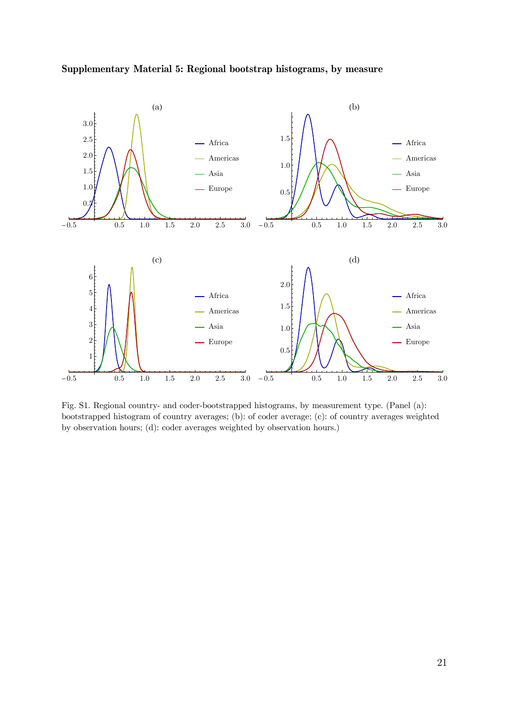

**Supplementary Material 5: Regional bootstrap histograms, by measure**

Fig. S1. Regional country- and coder-bootstrapped histograms, by measurement type. (Panel (a): bootstrapped histogram of country averages; (b): of coder average; (c): of country averages weighted by observation hours; (d): coder averages weighted by observation hours.)